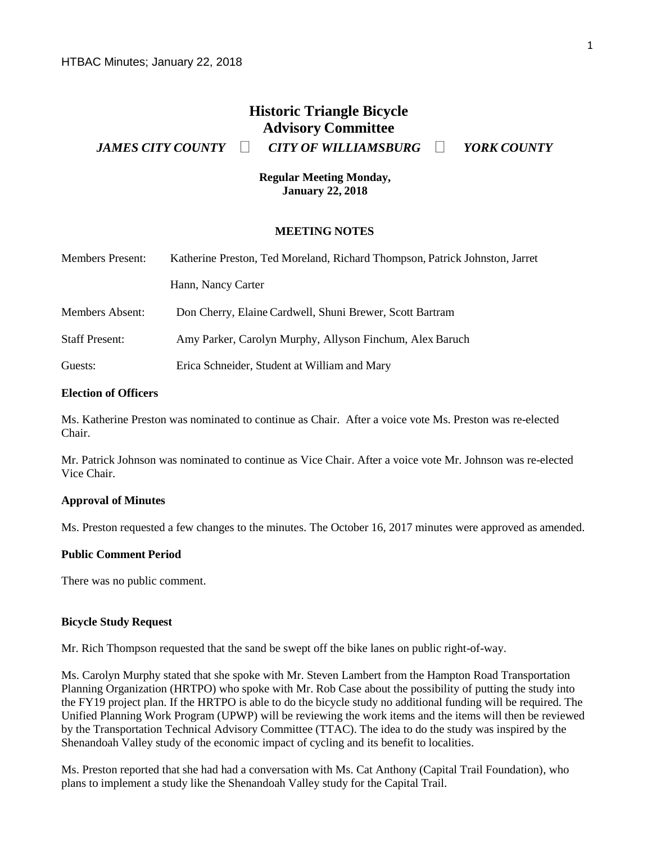# **Historic Triangle Bicycle Advisory Committee**

*JAMES CITY COUNTY CITY OF WILLIAMSBURG YORK COUNTY*

**Regular Meeting Monday, January 22, 2018**

#### **MEETING NOTES**

| <b>Members Present:</b> | Katherine Preston, Ted Moreland, Richard Thompson, Patrick Johnston, Jarret |
|-------------------------|-----------------------------------------------------------------------------|
|                         | Hann, Nancy Carter                                                          |
| <b>Members Absent:</b>  | Don Cherry, Elaine Cardwell, Shuni Brewer, Scott Bartram                    |
| <b>Staff Present:</b>   | Amy Parker, Carolyn Murphy, Allyson Finchum, Alex Baruch                    |
| Guests:                 | Erica Schneider, Student at William and Mary                                |

## **Election of Officers**

Ms. Katherine Preston was nominated to continue as Chair. After a voice vote Ms. Preston was re-elected Chair.

Mr. Patrick Johnson was nominated to continue as Vice Chair. After a voice vote Mr. Johnson was re-elected Vice Chair.

#### **Approval of Minutes**

Ms. Preston requested a few changes to the minutes. The October 16, 2017 minutes were approved as amended.

#### **Public Comment Period**

There was no public comment.

#### **Bicycle Study Request**

Mr. Rich Thompson requested that the sand be swept off the bike lanes on public right-of-way.

Ms. Carolyn Murphy stated that she spoke with Mr. Steven Lambert from the Hampton Road Transportation Planning Organization (HRTPO) who spoke with Mr. Rob Case about the possibility of putting the study into the FY19 project plan. If the HRTPO is able to do the bicycle study no additional funding will be required. The Unified Planning Work Program (UPWP) will be reviewing the work items and the items will then be reviewed by the Transportation Technical Advisory Committee (TTAC). The idea to do the study was inspired by the Shenandoah Valley study of the economic impact of cycling and its benefit to localities.

Ms. Preston reported that she had had a conversation with Ms. Cat Anthony (Capital Trail Foundation), who plans to implement a study like the Shenandoah Valley study for the Capital Trail.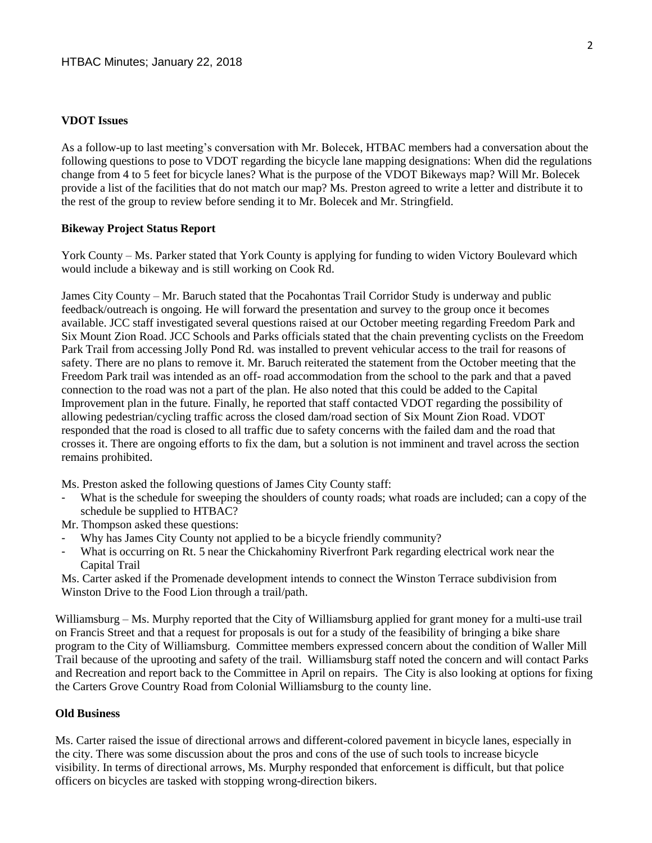### **VDOT Issues**

As a follow-up to last meeting's conversation with Mr. Bolecek, HTBAC members had a conversation about the following questions to pose to VDOT regarding the bicycle lane mapping designations: When did the regulations change from 4 to 5 feet for bicycle lanes? What is the purpose of the VDOT Bikeways map? Will Mr. Bolecek provide a list of the facilities that do not match our map? Ms. Preston agreed to write a letter and distribute it to the rest of the group to review before sending it to Mr. Bolecek and Mr. Stringfield.

## **Bikeway Project Status Report**

York County – Ms. Parker stated that York County is applying for funding to widen Victory Boulevard which would include a bikeway and is still working on Cook Rd.

James City County – Mr. Baruch stated that the Pocahontas Trail Corridor Study is underway and public feedback/outreach is ongoing. He will forward the presentation and survey to the group once it becomes available. JCC staff investigated several questions raised at our October meeting regarding Freedom Park and Six Mount Zion Road. JCC Schools and Parks officials stated that the chain preventing cyclists on the Freedom Park Trail from accessing Jolly Pond Rd. was installed to prevent vehicular access to the trail for reasons of safety. There are no plans to remove it. Mr. Baruch reiterated the statement from the October meeting that the Freedom Park trail was intended as an off- road accommodation from the school to the park and that a paved connection to the road was not a part of the plan. He also noted that this could be added to the Capital Improvement plan in the future. Finally, he reported that staff contacted VDOT regarding the possibility of allowing pedestrian/cycling traffic across the closed dam/road section of Six Mount Zion Road. VDOT responded that the road is closed to all traffic due to safety concerns with the failed dam and the road that crosses it. There are ongoing efforts to fix the dam, but a solution is not imminent and travel across the section remains prohibited.

Ms. Preston asked the following questions of James City County staff:

What is the schedule for sweeping the shoulders of county roads; what roads are included; can a copy of the schedule be supplied to HTBAC?

Mr. Thompson asked these questions:

- Why has James City County not applied to be a bicycle friendly community?
- What is occurring on Rt. 5 near the Chickahominy Riverfront Park regarding electrical work near the Capital Trail

Ms. Carter asked if the Promenade development intends to connect the Winston Terrace subdivision from Winston Drive to the Food Lion through a trail/path.

Williamsburg – Ms. Murphy reported that the City of Williamsburg applied for grant money for a multi-use trail on Francis Street and that a request for proposals is out for a study of the feasibility of bringing a bike share program to the City of Williamsburg. Committee members expressed concern about the condition of Waller Mill Trail because of the uprooting and safety of the trail. Williamsburg staff noted the concern and will contact Parks and Recreation and report back to the Committee in April on repairs. The City is also looking at options for fixing the Carters Grove Country Road from Colonial Williamsburg to the county line.

#### **Old Business**

Ms. Carter raised the issue of directional arrows and different-colored pavement in bicycle lanes, especially in the city. There was some discussion about the pros and cons of the use of such tools to increase bicycle visibility. In terms of directional arrows, Ms. Murphy responded that enforcement is difficult, but that police officers on bicycles are tasked with stopping wrong-direction bikers.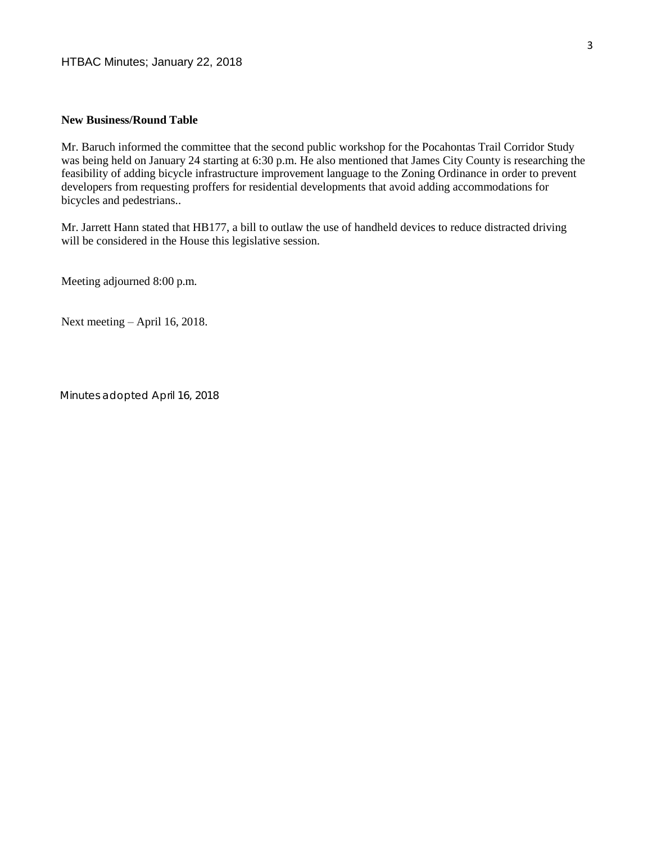## **New Business/Round Table**

Mr. Baruch informed the committee that the second public workshop for the Pocahontas Trail Corridor Study was being held on January 24 starting at 6:30 p.m. He also mentioned that James City County is researching the feasibility of adding bicycle infrastructure improvement language to the Zoning Ordinance in order to prevent developers from requesting proffers for residential developments that avoid adding accommodations for bicycles and pedestrians..

Mr. Jarrett Hann stated that HB177, a bill to outlaw the use of handheld devices to reduce distracted driving will be considered in the House this legislative session.

Meeting adjourned 8:00 p.m.

Next meeting – April 16, 2018.

*Minutes adopted April 16, 2018*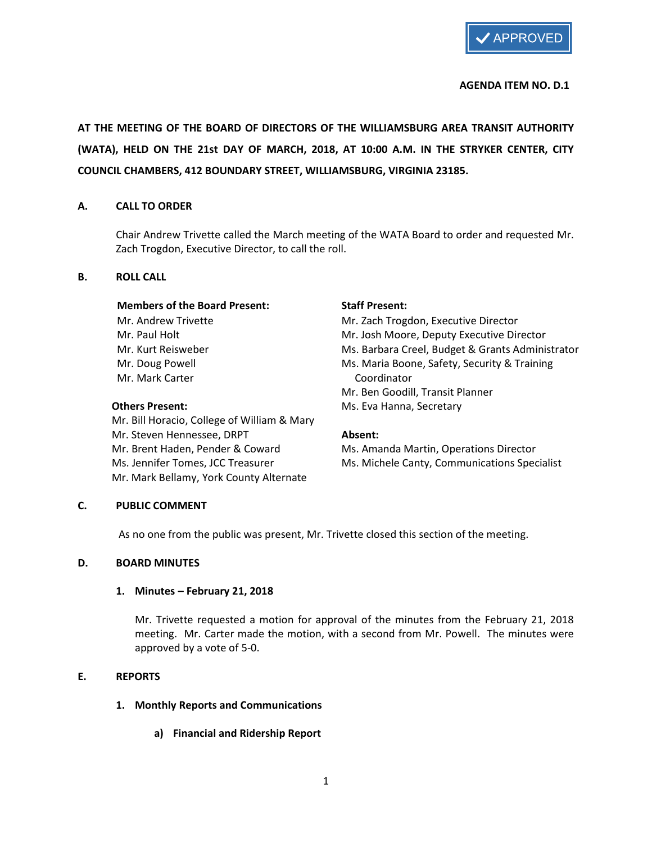

## AGENDA ITEM NO. D.1

AT THE MEETING OF THE BOARD OF DIRECTORS OF THE WILLIAMSBURG AREA TRANSIT AUTHORITY (WATA), HELD ON THE 21st DAY OF MARCH, 2018, AT 10:00 A.M. IN THE STRYKER CENTER, CITY COUNCIL CHAMBERS, 412 BOUNDARY STREET, WILLIAMSBURG, VIRGINIA 23185.

## A. CALL TO ORDER

Chair Andrew Trivette called the March meeting of the WATA Board to order and requested Mr. Zach Trogdon, Executive Director, to call the roll.

## B. ROLL CALL

## Members of the Board Present: Staff Present:

Mr. Mark Carter Coordinator

 Mr. Bill Horacio, College of William & Mary Mr. Steven Hennessee, DRPT **Absent:** Mr. Brent Haden, Pender & Coward Ms. Amanda Martin, Operations Director Mr. Mark Bellamy, York County Alternate

Mr. Andrew Trivette Mr. Zach Trogdon, Executive Director Mr. Paul Holt Mr. Josh Moore, Deputy Executive Director Mr. Kurt Reisweber The Ms. Barbara Creel, Budget & Grants Administrator Mr. Doug Powell **Maria Boone**, Safety, Security & Training Mr. Ben Goodill, Transit Planner Others Present: Ms. Eva Hanna, Secretary

Ms. Jennifer Tomes, JCC Treasurer Ms. Michele Canty, Communications Specialist

## C. PUBLIC COMMENT

As no one from the public was present, Mr. Trivette closed this section of the meeting.

## D. BOARD MINUTES

## 1. Minutes – February 21, 2018

Mr. Trivette requested a motion for approval of the minutes from the February 21, 2018 meeting. Mr. Carter made the motion, with a second from Mr. Powell. The minutes were approved by a vote of 5-0.

## E. REPORTS

- 1. Monthly Reports and Communications
	- a) Financial and Ridership Report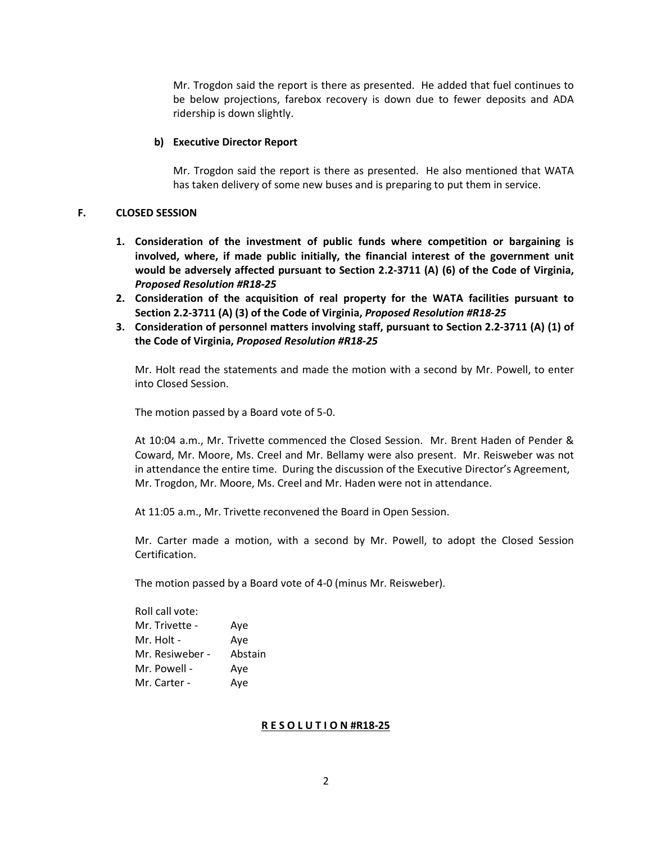Mr. Trogdon said the report is there as presented. He added that fuel continues to be below projections, farebox recovery is down due to fewer deposits and ADA ridership is down slightly.

#### b) Executive Director Report

Mr. Trogdon said the report is there as presented. He also mentioned that WATA has taken delivery of some new buses and is preparing to put them in service.

## F. CLOSED SESSION

- 1. Consideration of the investment of public funds where competition or bargaining is involved, where, if made public initially, the financial interest of the government unit would be adversely affected pursuant to Section 2.2-3711 (A) (6) of the Code of Virginia, Proposed Resolution #R18-25
- 2. Consideration of the acquisition of real property for the WATA facilities pursuant to Section 2.2-3711 (A) (3) of the Code of Virginia, Proposed Resolution #R18-25
- 3. Consideration of personnel matters involving staff, pursuant to Section 2.2-3711 (A) (1) of the Code of Virginia, Proposed Resolution #R18-25

Mr. Holt read the statements and made the motion with a second by Mr. Powell, to enter into Closed Session.

The motion passed by a Board vote of 5-0.

At 10:04 a.m., Mr. Trivette commenced the Closed Session. Mr. Brent Haden of Pender & Coward, Mr. Moore, Ms. Creel and Mr. Bellamy were also present. Mr. Reisweber was not in attendance the entire time. During the discussion of the Executive Director's Agreement, Mr. Trogdon, Mr. Moore, Ms. Creel and Mr. Haden were not in attendance.

At 11:05 a.m., Mr. Trivette reconvened the Board in Open Session.

Mr. Carter made a motion, with a second by Mr. Powell, to adopt the Closed Session Certification.

The motion passed by a Board vote of 4-0 (minus Mr. Reisweber).

| Aye     |
|---------|
| Ave     |
| Abstain |
|         |
| Aye     |
|         |

## R E S O L U T I O N #R18-25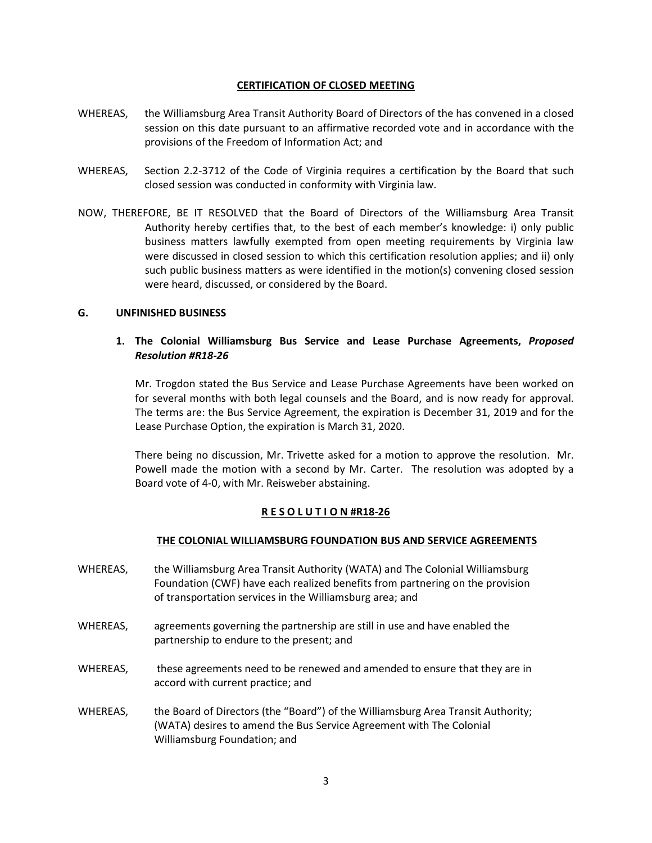## CERTIFICATION OF CLOSED MEETING

- WHEREAS, the Williamsburg Area Transit Authority Board of Directors of the has convened in a closed session on this date pursuant to an affirmative recorded vote and in accordance with the provisions of the Freedom of Information Act; and
- WHEREAS, Section 2.2-3712 of the Code of Virginia requires a certification by the Board that such closed session was conducted in conformity with Virginia law.
- NOW, THEREFORE, BE IT RESOLVED that the Board of Directors of the Williamsburg Area Transit Authority hereby certifies that, to the best of each member's knowledge: i) only public business matters lawfully exempted from open meeting requirements by Virginia law were discussed in closed session to which this certification resolution applies; and ii) only such public business matters as were identified in the motion(s) convening closed session were heard, discussed, or considered by the Board.

## G. UNFINISHED BUSINESS

## 1. The Colonial Williamsburg Bus Service and Lease Purchase Agreements, Proposed Resolution #R18-26

Mr. Trogdon stated the Bus Service and Lease Purchase Agreements have been worked on for several months with both legal counsels and the Board, and is now ready for approval. The terms are: the Bus Service Agreement, the expiration is December 31, 2019 and for the Lease Purchase Option, the expiration is March 31, 2020.

There being no discussion, Mr. Trivette asked for a motion to approve the resolution. Mr. Powell made the motion with a second by Mr. Carter. The resolution was adopted by a Board vote of 4-0, with Mr. Reisweber abstaining.

## R E S O L U T I O N #R18-26

## THE COLONIAL WILLIAMSBURG FOUNDATION BUS AND SERVICE AGREEMENTS

- WHEREAS, the Williamsburg Area Transit Authority (WATA) and The Colonial Williamsburg Foundation (CWF) have each realized benefits from partnering on the provision of transportation services in the Williamsburg area; and
- WHEREAS, agreements governing the partnership are still in use and have enabled the partnership to endure to the present; and
- WHEREAS, these agreements need to be renewed and amended to ensure that they are in accord with current practice; and
- WHEREAS, the Board of Directors (the "Board") of the Williamsburg Area Transit Authority; (WATA) desires to amend the Bus Service Agreement with The Colonial Williamsburg Foundation; and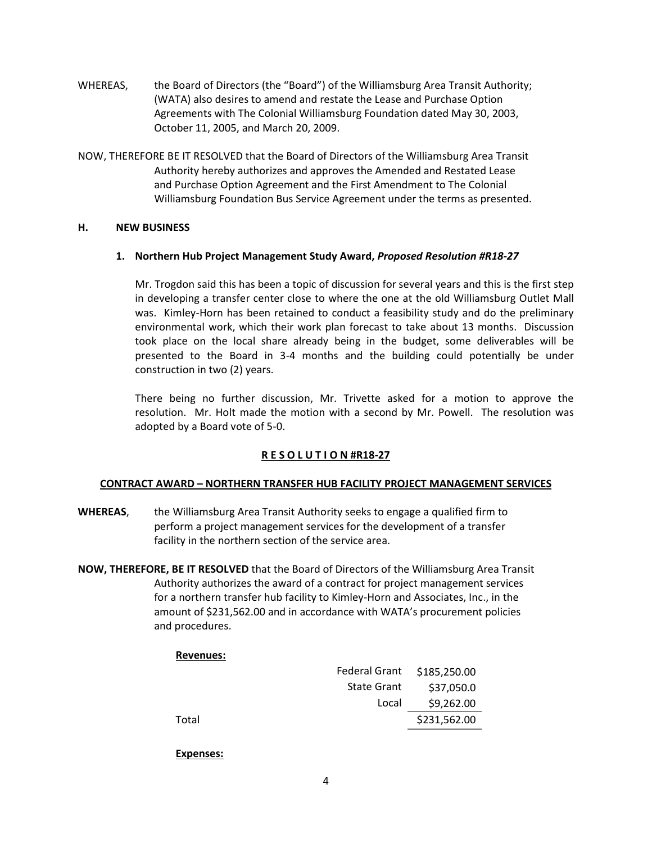- WHEREAS, the Board of Directors (the "Board") of the Williamsburg Area Transit Authority; (WATA) also desires to amend and restate the Lease and Purchase Option Agreements with The Colonial Williamsburg Foundation dated May 30, 2003, October 11, 2005, and March 20, 2009.
- NOW, THEREFORE BE IT RESOLVED that the Board of Directors of the Williamsburg Area Transit Authority hereby authorizes and approves the Amended and Restated Lease and Purchase Option Agreement and the First Amendment to The Colonial Williamsburg Foundation Bus Service Agreement under the terms as presented.

## H. NEW BUSINESS

## 1. Northern Hub Project Management Study Award, Proposed Resolution #R18-27

Mr. Trogdon said this has been a topic of discussion for several years and this is the first step in developing a transfer center close to where the one at the old Williamsburg Outlet Mall was. Kimley-Horn has been retained to conduct a feasibility study and do the preliminary environmental work, which their work plan forecast to take about 13 months. Discussion took place on the local share already being in the budget, some deliverables will be presented to the Board in 3-4 months and the building could potentially be under construction in two (2) years.

There being no further discussion, Mr. Trivette asked for a motion to approve the resolution. Mr. Holt made the motion with a second by Mr. Powell. The resolution was adopted by a Board vote of 5-0.

## R E S O L U T I O N #R18-27

## CONTRACT AWARD – NORTHERN TRANSFER HUB FACILITY PROJECT MANAGEMENT SERVICES

- WHEREAS, the Williamsburg Area Transit Authority seeks to engage a qualified firm to perform a project management services for the development of a transfer facility in the northern section of the service area.
- NOW, THEREFORE, BE IT RESOLVED that the Board of Directors of the Williamsburg Area Transit Authority authorizes the award of a contract for project management services for a northern transfer hub facility to Kimley-Horn and Associates, Inc., in the amount of \$231,562.00 and in accordance with WATA's procurement policies and procedures.

## Revenues:

|       | Federal Grant \$185,250.00 |              |
|-------|----------------------------|--------------|
|       | <b>State Grant</b>         | \$37,050.0   |
|       | Local                      | \$9,262.00   |
| Total |                            | \$231,562.00 |
|       |                            |              |

## Expenses: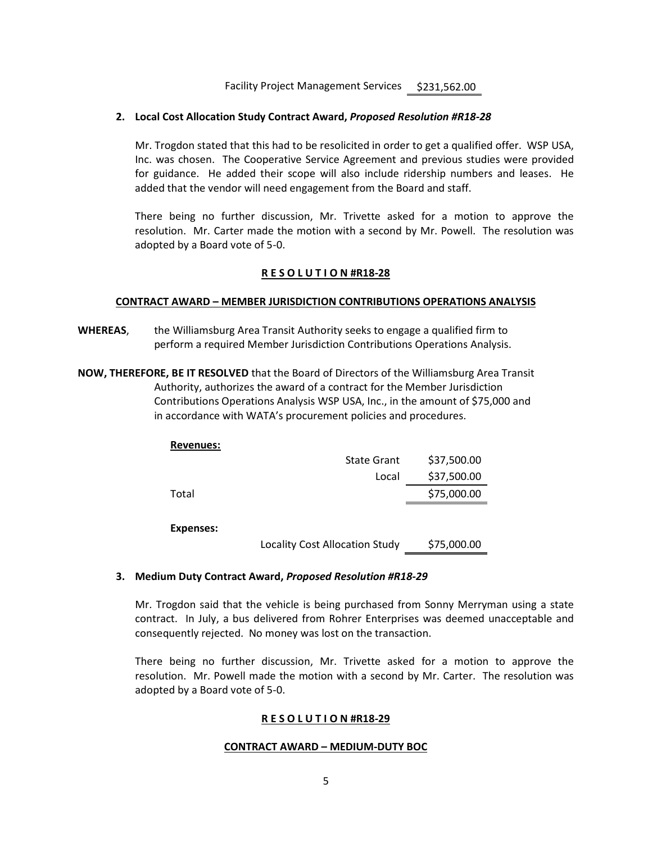Facility Project Management Services \$231,562.00

## 2. Local Cost Allocation Study Contract Award, Proposed Resolution #R18-28

Mr. Trogdon stated that this had to be resolicited in order to get a qualified offer. WSP USA, Inc. was chosen. The Cooperative Service Agreement and previous studies were provided for guidance. He added their scope will also include ridership numbers and leases. He added that the vendor will need engagement from the Board and staff.

There being no further discussion, Mr. Trivette asked for a motion to approve the resolution. Mr. Carter made the motion with a second by Mr. Powell. The resolution was adopted by a Board vote of 5-0.

## R E S O L U T I O N #R18-28

## CONTRACT AWARD – MEMBER JURISDICTION CONTRIBUTIONS OPERATIONS ANALYSIS

WHEREAS, the Williamsburg Area Transit Authority seeks to engage a qualified firm to perform a required Member Jurisdiction Contributions Operations Analysis.

NOW, THEREFORE, BE IT RESOLVED that the Board of Directors of the Williamsburg Area Transit Authority, authorizes the award of a contract for the Member Jurisdiction Contributions Operations Analysis WSP USA, Inc., in the amount of \$75,000 and in accordance with WATA's procurement policies and procedures.

| <b>Revenues:</b> |                                       |             |
|------------------|---------------------------------------|-------------|
|                  | <b>State Grant</b>                    | \$37,500.00 |
|                  | Local                                 | \$37,500.00 |
| Total            |                                       | \$75,000.00 |
|                  |                                       |             |
| Expenses:        |                                       |             |
|                  | <b>Locality Cost Allocation Study</b> | \$75,000.00 |

## 3. Medium Duty Contract Award, Proposed Resolution #R18-29

Mr. Trogdon said that the vehicle is being purchased from Sonny Merryman using a state contract. In July, a bus delivered from Rohrer Enterprises was deemed unacceptable and consequently rejected. No money was lost on the transaction.

There being no further discussion, Mr. Trivette asked for a motion to approve the resolution. Mr. Powell made the motion with a second by Mr. Carter. The resolution was adopted by a Board vote of 5-0.

## R E S O L U T I O N #R18-29

## CONTRACT AWARD – MEDIUM-DUTY BOC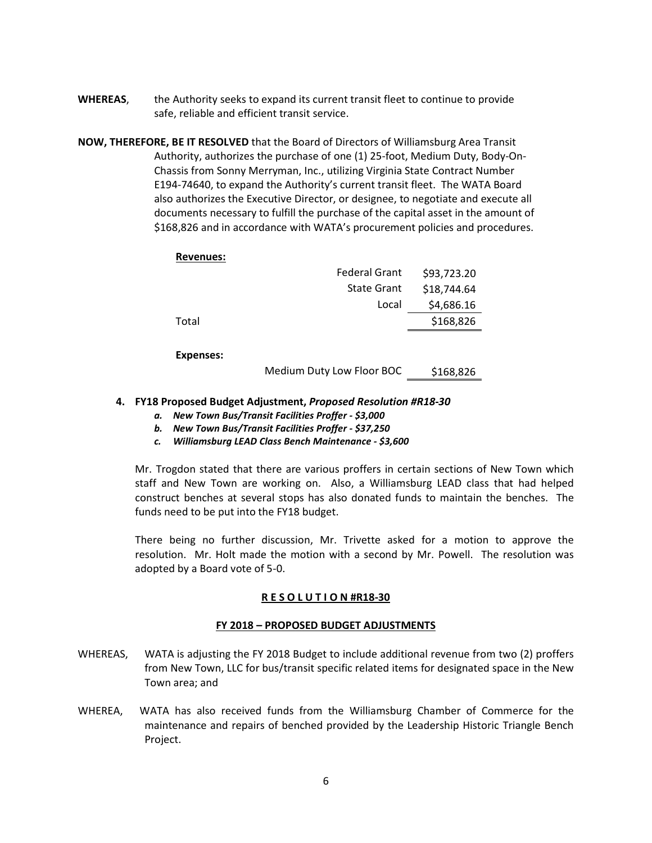- WHEREAS, the Authority seeks to expand its current transit fleet to continue to provide safe, reliable and efficient transit service.
- NOW, THEREFORE, BE IT RESOLVED that the Board of Directors of Williamsburg Area Transit Authority, authorizes the purchase of one (1) 25-foot, Medium Duty, Body-On- Chassis from Sonny Merryman, Inc., utilizing Virginia State Contract Number E194-74640, to expand the Authority's current transit fleet. The WATA Board also authorizes the Executive Director, or designee, to negotiate and execute all documents necessary to fulfill the purchase of the capital asset in the amount of \$168,826 and in accordance with WATA's procurement policies and procedures.

## Revenues:

|                  | <b>Federal Grant</b>      | \$93,723.20 |
|------------------|---------------------------|-------------|
|                  | <b>State Grant</b>        | \$18,744.64 |
|                  | Local                     | \$4,686.16  |
| Total            |                           | \$168,826   |
|                  |                           |             |
| <b>Expenses:</b> |                           |             |
|                  | Medium Duty Low Floor BOC | \$168,826   |

## 4. FY18 Proposed Budget Adjustment, Proposed Resolution #R18-30

- a. New Town Bus/Transit Facilities Proffer \$3,000
- b. New Town Bus/Transit Facilities Proffer \$37,250
- c. Williamsburg LEAD Class Bench Maintenance \$3,600

Mr. Trogdon stated that there are various proffers in certain sections of New Town which staff and New Town are working on. Also, a Williamsburg LEAD class that had helped construct benches at several stops has also donated funds to maintain the benches. The funds need to be put into the FY18 budget.

There being no further discussion, Mr. Trivette asked for a motion to approve the resolution. Mr. Holt made the motion with a second by Mr. Powell. The resolution was adopted by a Board vote of 5-0.

## R E S O L U T I O N #R18-30

## FY 2018 – PROPOSED BUDGET ADJUSTMENTS

- WHEREAS, WATA is adjusting the FY 2018 Budget to include additional revenue from two (2) proffers from New Town, LLC for bus/transit specific related items for designated space in the New Town area; and
- WHEREA, WATA has also received funds from the Williamsburg Chamber of Commerce for the maintenance and repairs of benched provided by the Leadership Historic Triangle Bench Project.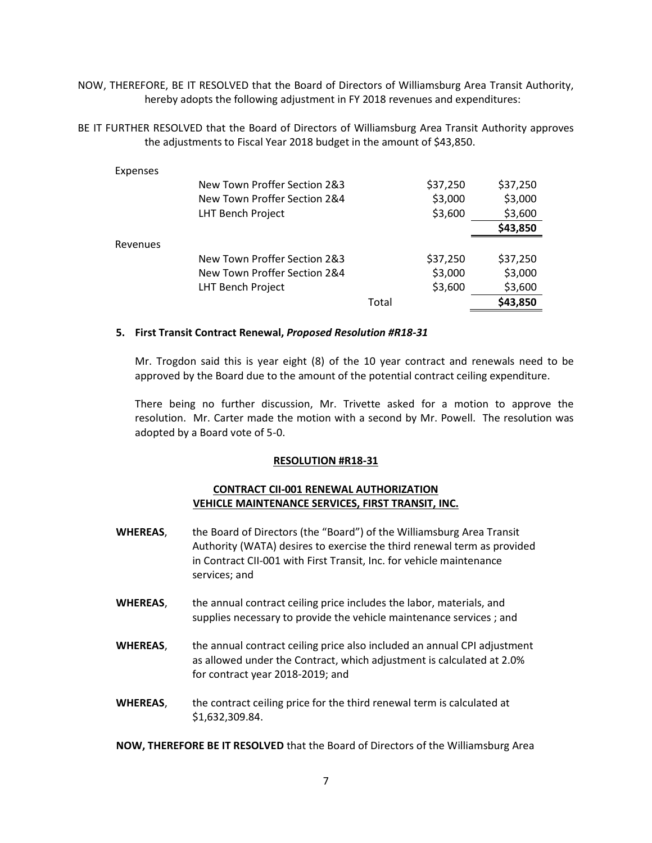NOW, THEREFORE, BE IT RESOLVED that the Board of Directors of Williamsburg Area Transit Authority, hereby adopts the following adjustment in FY 2018 revenues and expenditures:

BE IT FURTHER RESOLVED that the Board of Directors of Williamsburg Area Transit Authority approves the adjustments to Fiscal Year 2018 budget in the amount of \$43,850.

| Expenses |                              |       |          |          |
|----------|------------------------------|-------|----------|----------|
|          | New Town Proffer Section 2&3 |       | \$37,250 | \$37,250 |
|          | New Town Proffer Section 2&4 |       | \$3,000  | \$3,000  |
|          | LHT Bench Project            |       | \$3,600  | \$3,600  |
|          |                              |       |          | \$43,850 |
| Revenues |                              |       |          |          |
|          | New Town Proffer Section 2&3 |       | \$37,250 | \$37,250 |
|          | New Town Proffer Section 2&4 |       | \$3,000  | \$3,000  |
|          | LHT Bench Project            |       | \$3,600  | \$3,600  |
|          |                              | Total |          | \$43,850 |

## 5. First Transit Contract Renewal, Proposed Resolution #R18-31

Mr. Trogdon said this is year eight (8) of the 10 year contract and renewals need to be approved by the Board due to the amount of the potential contract ceiling expenditure.

There being no further discussion, Mr. Trivette asked for a motion to approve the resolution. Mr. Carter made the motion with a second by Mr. Powell. The resolution was adopted by a Board vote of 5-0.

#### RESOLUTION #R18-31

## CONTRACT CII-001 RENEWAL AUTHORIZATION VEHICLE MAINTENANCE SERVICES, FIRST TRANSIT, INC.

- WHEREAS, the Board of Directors (the "Board") of the Williamsburg Area Transit Authority (WATA) desires to exercise the third renewal term as provided in Contract CII-001 with First Transit, Inc. for vehicle maintenance services; and
- WHEREAS, the annual contract ceiling price includes the labor, materials, and supplies necessary to provide the vehicle maintenance services ; and
- WHEREAS, the annual contract ceiling price also included an annual CPI adjustment as allowed under the Contract, which adjustment is calculated at 2.0% for contract year 2018-2019; and
- WHEREAS, the contract ceiling price for the third renewal term is calculated at \$1,632,309.84.

NOW, THEREFORE BE IT RESOLVED that the Board of Directors of the Williamsburg Area